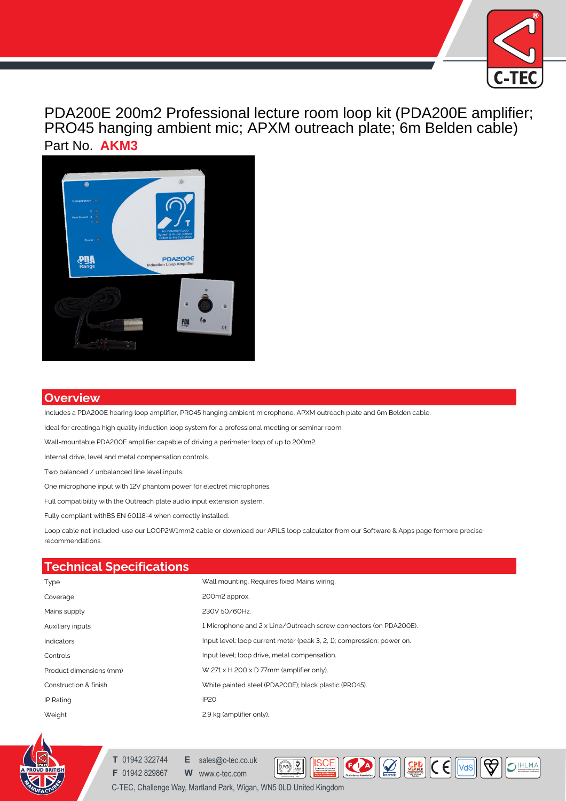

PDA200E 200m2 Professional lecture room loop kit (PDA200E amplifier; PRO45 hanging ambient mic; APXM outreach plate; 6m Belden cable) Part No. **AKM3**



## **Overview**

Includes a PDA200E hearing loop amplifier, PRO45 hanging ambient microphone, APXM outreach plate and 6m Belden cable.

Ideal for creatinga high quality induction loop system for a professional meeting or seminar room.

Wall-mountable PDA200E amplifier capable of driving a perimeter loop of up to 200m2.

Internal drive, level and metal compensation controls.

Two balanced / unbalanced line level inputs.

One microphone input with 12V phantom power for electret microphones.

Full compatibility with the Outreach plate audio input extension system.

Fully compliant withBS EN 60118-4 when correctly installed.

Loop cable not included-use our LOOP2W1mm2 cable or download our AFILS loop calculator from our Software & Apps page formore precise recommendations.

| <b>Technical Specifications</b> |                                                                        |
|---------------------------------|------------------------------------------------------------------------|
| Type                            | Wall mounting. Requires fixed Mains wiring.                            |
| Coverage                        | 200m2 approx.                                                          |
| Mains supply                    | 230V 50/60Hz.                                                          |
| Auxiliary inputs                | 1 Microphone and 2 x Line/Outreach screw connectors (on PDA200E).      |
| <b>Indicators</b>               | Input level; loop current meter (peak 3, 2, 1); compression; power on. |
| Controls                        | Input level; loop drive, metal compensation.                           |
| Product dimensions (mm)         | W $271 \times H$ 200 x D 77mm (amplifier only).                        |
| Construction & finish           | White painted steel (PDA200E); black plastic (PRO45).                  |
| IP Rating                       | IP20.                                                                  |
| Weight                          | 2.9 kg (amplifier only).                                               |

**MANAGEMENT SYSTEMS**

 $(\text{TPCB})$ 

**ISCE** 

 $\fbox{ \begin{tabular}{|c|c|} \hline $ \color{blue} \pmb{\bullet} \color{black} \pmb{\bullet} \color{black} \pmb{\bullet} \color{black} \pmb{\bullet} \color{black} \pmb{\bullet} \color{black} \pmb{\bullet} \color{black} \pmb{\bullet} \color{black} \pmb{\bullet} \color{black} \pmb{\bullet} \color{black} \pmb{\bullet} \color{black} \pmb{\bullet} \color{black} \pmb{\bullet} \color{black} \pmb{\bullet} \color{black} \pmb{\bullet} \color{black} \pmb{\bullet} \color{black} \pmb{\bullet} \color{black} \pmb{\bullet} \color{black} \pmb{\bullet} \color{$ 

OIHLMA



**T** 01942 322744 **E** sales@c-tec.co.uk

**F** 01942 829867 **W** www.c-tec.com Quality System Certificate No: 176

C-TEC, Challenge Way, Martland Park, Wigan, WN5 0LD United Kingdom